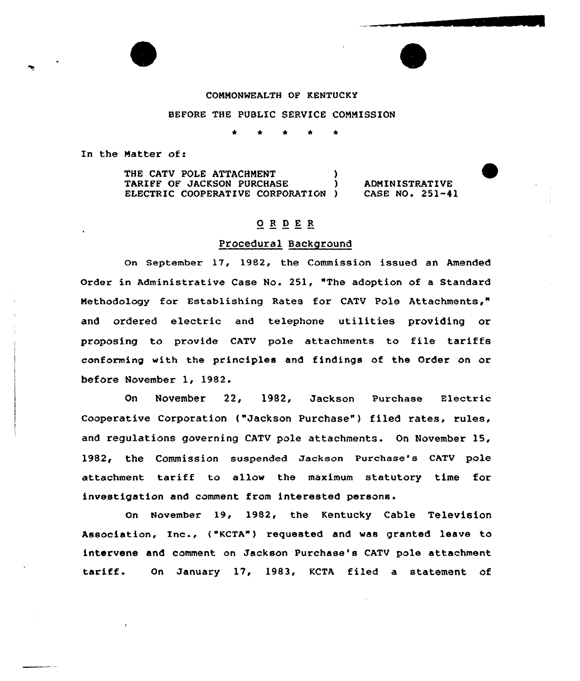#### COMMONWEALTH OF KENTUCKY

## BEFORE THE PUBLIC SERVICE COMMISSION

In the Matter of:

THE CATV POLE ATTACHMENT TARIFF OF JACKSON PURCHASE ELECTRIC COOPERATIVE CORPORATION )

**ADMINISTRATIVE** CASE NO. 251-41

# ORDER

#### Procedural Background

On September 17, 1982, the Commission issued an Amended Order in Administrative Case No. 251, "The adoption of a Standard Methodology for Establishing Rates for CATV Pole Attachments," and ordered electric and telephone utilities providing or proposing to provide CATV pole attachments to file tariffs conforming with the principles and findings of the Order on or before November 1, 1982.

On November 22, 1982, Jackson Purchase Electric Cooperative Corporation ("Jackson Purchase") filed rates, rules, and regulations governing CATV pole attachments. On November 15, 1982< the Commission suspended Jackson Purchase's CATV pole attachment tariff to allow the maximum statutory time for investigation and comment from interested persons.

On November 19, 1982, the Kentucky Cable Television Association, Inc., ("KCTA"} requested and was granted leave to intervene and comment on Jackson Purchase's CATV pole attachment tariff. On January 17, 1983, KCTA filed a statement of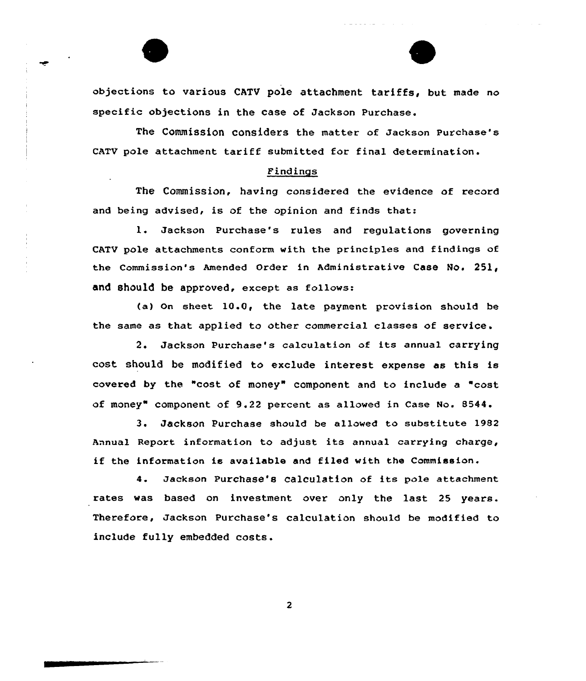

objections to various CATU pole attachment tariffs, but made no specific objections in the case of Jackson Purchase.

The Commission considers the matter of Jackson Purchase's CATV pole attachment tariff submitted for final determination.

## Findings

The Commission, having considered the evidence of record and being advised, is of the opinion and finds that:

l. Jackson Purchase's rules and regulations governing CATV pole attachments conform with the principles and findings of the commission's Amended Order in Administrative case No. 251, and should be approved, except as follows:

(a) On sheet  $10.0$ , the late payment provision should be the same as that applied to other commercial classes of service .

2. Jackson Purchase's ca1culation of its annual carrying cost should be modified to exclude interest expense as this is covered by the "cost of money" component and to include a "cost of money" component of 9.22 percent as allowed in Case No. 8544.

3. Jackson Purchase should be allowed to substitute 1982 Annual Report information to adjust its annual carrying charge, if the information is available and filed with the Commission.

4. Jackson Purchase's calculation of its pole attachment rates was based on investment over only the last 25 years. Therefore, Jackson Purchase's calculation should be modified to include fully embedded costs.

 $\overline{\mathbf{c}}$